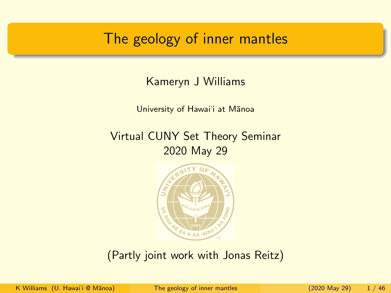## <span id="page-0-0"></span>The geology of inner mantles

Kameryn J Williams

University of Hawai'i at Manoa

Virtual CUNY Set Theory Seminar 2020 May 29



(Partly joint work with Jonas Reitz)

K Williams (U. Hawai'i @ Mānoa) The geology of inner mantles (2020 May 29) 1/46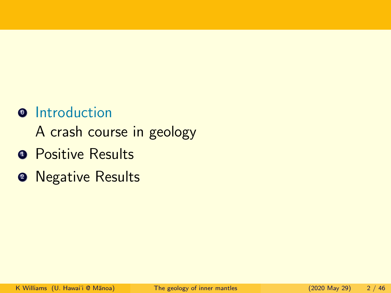## **<sup>o</sup>** Introduction

A crash course in geology

- **Positive Results**
- **2** Negative Results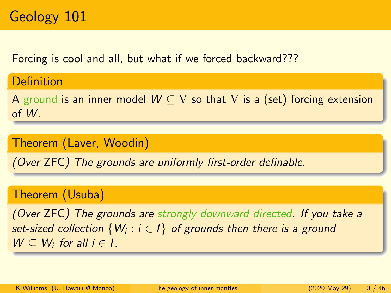Definition

Forcing is cool and all, but what if we forced backward???

A ground is an inner model  $W \subseteq V$  so that V is a (set) forcing extension of W.

## Theorem (Laver, Woodin)

(Over ZFC) The grounds are uniformly first-order definable.

## Theorem (Usuba)

(Over ZFC) The grounds are strongly downward directed. If you take a set-sized collection  $\{W_i:i\in I\}$  of grounds then there is a ground  $W \subseteq W_i$  for all  $i \in I$ .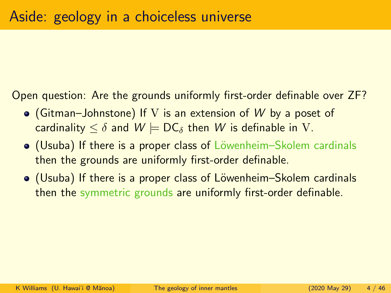Open question: Are the grounds uniformly first-order definable over ZF?

- (Gitman–Johnstone) If V is an extension of W by a poset of cardinality  $\leq \delta$  and  $W \models DC_{\delta}$  then W is definable in V.
- (Usuba) If there is a proper class of Löwenheim–Skolem cardinals then the grounds are uniformly first-order definable.
- (Usuba) If there is a proper class of Löwenheim–Skolem cardinals then the symmetric grounds are uniformly first-order definable.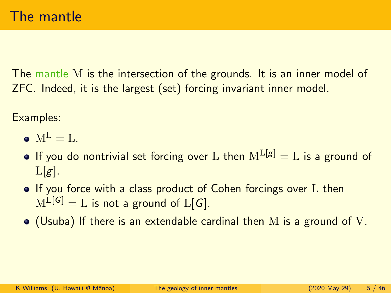The mantle M is the intersection of the grounds. It is an inner model of ZFC. Indeed, it is the largest (set) forcing invariant inner model.

Examples:

- $M^L = I$ .
- **•** If you do nontrivial set forcing over L then  $M^{L[g]} = L$  is a ground of  $L[g]$ .
- If you force with a class product of Cohen forcings over L then  $M^{L[G]} = L$  is not a ground of  $L[G]$ .
- $\bullet$  (Usuba) If there is an extendable cardinal then M is a ground of V.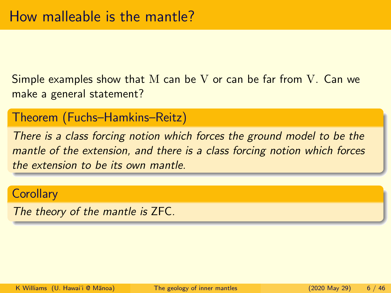Simple examples show that M can be V or can be far from V. Can we make a general statement?

#### Theorem (Fuchs–Hamkins–Reitz)

There is a class forcing notion which forces the ground model to be the mantle of the extension, and there is a class forcing notion which forces the extension to be its own mantle.

#### **Corollary**

The theory of the mantle is ZFC.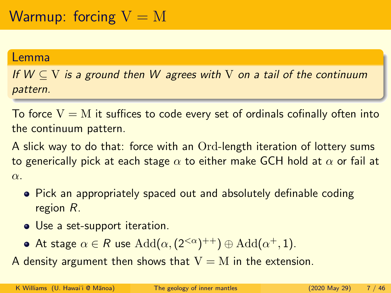#### Lemma

If  $W \subset V$  is a ground then W agrees with V on a tail of the continuum pattern.

To force  $V = M$  it suffices to code every set of ordinals cofinally often into the continuum pattern.

A slick way to do that: force with an Ord-length iteration of lottery sums to generically pick at each stage  $\alpha$  to either make GCH hold at  $\alpha$  or fail at α.

- Pick an appropriately spaced out and absolutely definable coding region R.
- Use a set-support iteration.
- At stage  $\alpha \in R$  use  $\text{Add}(\alpha, (2^{<\alpha})^{++}) \oplus \text{Add}(\alpha^+, 1)$ .

A density argument then shows that  $V = M$  in the extension.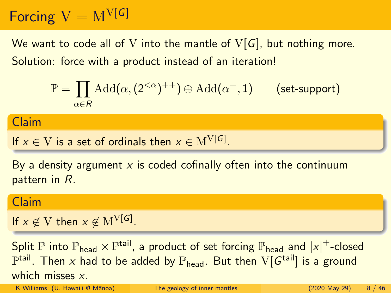# Forcing  $V = M^{V[G]}$

We want to code all of V into the mantle of  $V[G]$ , but nothing more. Solution: force with a product instead of an iteration!

$$
\mathbb{P} = \prod_{\alpha \in R} \text{Add}(\alpha, (2^{<\alpha})^{++}) \oplus \text{Add}(\alpha^+, 1) \qquad \text{(set-support)}
$$

Claim

If 
$$
x \in V
$$
 is a set of ordinals then  $x \in M^{V[G]}$ .

By a density argument  $x$  is coded cofinally often into the continuum pattern in R.

#### Claim

If  $x \notin V$  then  $x \notin M^{V[G]}$ .

Split  ${\mathbb P}$  into  ${\mathbb P}_{\mathsf{head}} \times {\mathbb P}^{\mathsf{tail}},$  a product of set forcing  ${\mathbb P}_{\mathsf{head}}$  and  $|x|^+$ -closed  $\mathbb{P}^{\mathsf{tail}}.$  Then  $x$  had to be added by  $\mathbb{P}_{\mathsf{head}}.$  But then  $\mathrm{V}[G^{\mathsf{tail}}]$  is a ground which misses x.

K Williams (U. Hawai'i @ Mānoa) [The geology of inner mantles](#page-0-0) (2020 May 29) 8 / 46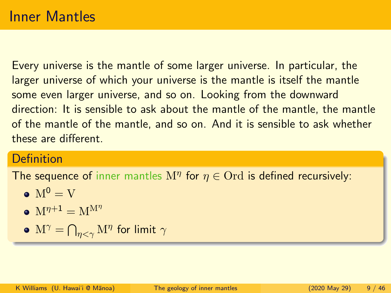Every universe is the mantle of some larger universe. In particular, the larger universe of which your universe is the mantle is itself the mantle some even larger universe, and so on. Looking from the downward direction: It is sensible to ask about the mantle of the mantle, the mantle of the mantle of the mantle, and so on. And it is sensible to ask whether these are different.

#### Definition

The sequence of inner mantles  $M^{\eta}$  for  $\eta \in$  Ord is defined recursively:

- $\bullet$  M<sup>0</sup> = V
- $\bullet \mathbf{M}^{\eta+1} = \mathbf{M}^{\mathbf{M}^{\eta}}$
- $\mathrm{M}^\gamma=\bigcap_{\eta<\gamma}\mathrm{M}^\eta$  for limit  $\gamma$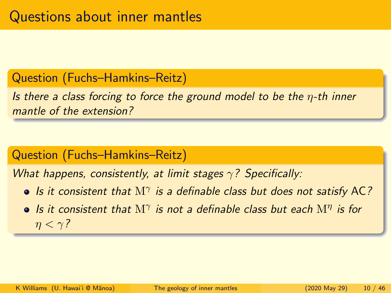#### Question (Fuchs–Hamkins–Reitz)

Is there a class forcing to force the ground model to be the  $\eta$ -th inner mantle of the extension?

## Question (Fuchs–Hamkins–Reitz)

What happens, consistently, at limit stages  $\gamma$ ? Specifically:

- Is it consistent that  $M^{\gamma}$  is a definable class but does not satisfy AC?
- Is it consistent that  $M^{\gamma}$  is not a definable class but each  $M^{\eta}$  is for  $\eta < \gamma$ ?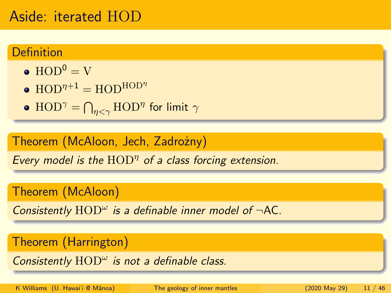## Aside: iterated HOD

#### Definition

- $\bullet$  HOD<sup>0</sup> = V
- $HOD^{\eta+1} = HOD^{HOD^{\eta}}$
- $\mathrm{HOD}^\gamma = \bigcap_{\eta < \gamma} \mathrm{HOD}^\eta$  for limit  $\gamma$

#### Theorem (McAloon, Jech, Zadrożny)

Every model is the  $HOD^{\eta}$  of a class forcing extension.

Theorem (McAloon)

Consistently  $\text{HOD}^{\omega}$  is a definable inner model of  $\neg$ AC.

## Theorem (Harrington)

Consistently  $\text{HOD}^{\omega}$  is not a definable class.

K Williams (U. Hawai'i @ Mānoa) [The geology of inner mantles](#page-0-0) (2020 May 29) 11 / 46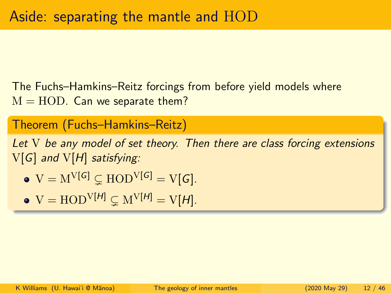The Fuchs–Hamkins–Reitz forcings from before yield models where  $M = HOD$ . Can we separate them?

## Theorem (Fuchs–Hamkins–Reitz)

Let V be any model of set theory. Then there are class forcing extensions V[G] and V[H] satisfying:

• 
$$
V = M^{V[G]} \subsetneq HOD^{V[G]} = V[G].
$$

• 
$$
V = HOD^{V[H]} \subsetneq M^{V[H]} = V[H].
$$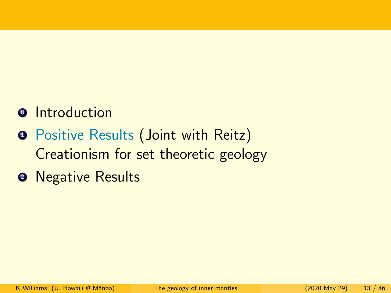# **<sup>o</sup>** Introduction

- **•** Positive Results (Joint with Reitz) Creationism for set theoretic geology
- **2** Negative Results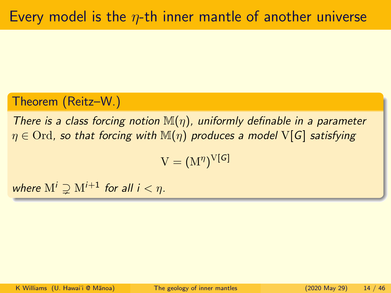## Theorem (Reitz–W.)

There is a class forcing notion  $\mathbb{M}(\eta)$ , uniformly definable in a parameter  $\eta \in \text{Ord}$ , so that forcing with  $\mathbb{M}(\eta)$  produces a model V[G] satisfying

 $\mathrm{V}=(\mathrm{M}^\eta)^{\mathrm{V}[\mathcal{G}]}$ 

where  $M^i \supseteq M^{i+1}$  for all  $i < \eta$ .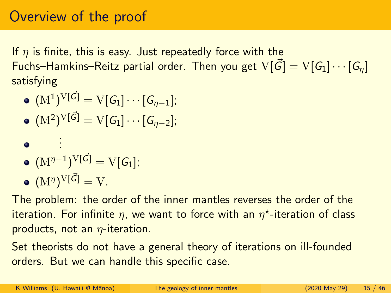If  $\eta$  is finite, this is easy. Just repeatedly force with the Fuchs–Hamkins–Reitz partial order. Then you get  $V[\vec{G}] = V[G_1] \cdots [G_n]$ satisfying

- $(\mathrm{M}^1)^{\operatorname{V}[\vec{\mathcal{G}}]} = \operatorname{V}[\mathcal{G}_1] \cdots [\mathcal{G}_{\eta-1}];$
- $(\mathrm{M}^2)^{\mathrm{V}[\vec{\mathcal{G}}]} = \mathrm{V}[\mathcal{G}_1] \cdots [\mathcal{G}_{\eta-2}];$

$$
\bullet \quad \blacksquare
$$

$$
\bullet \ \ ( \mathrm{M}^{\eta-1} )^{\mathrm{V}[\vec{G}]} = \mathrm{V}[\mathcal{G}_1];
$$

$$
\bullet \ \left(\mathbf{M}^{\eta}\right)^{\mathbf{V}[\vec{\mathcal{G}}]}=\mathbf{V}.
$$

. . .

The problem: the order of the inner mantles reverses the order of the iteration. For infinite  $\eta$ , we want to force with an  $\eta^\star$ -iteration of class products, not an  $\eta$ -iteration.

Set theorists do not have a general theory of iterations on ill-founded orders. But we can handle this specific case.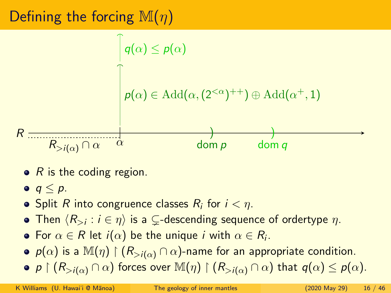# Defining the forcing  $\mathbb{M}(n)$



- $\bullet$  R is the coding region.
- $q < p$ .
- Split  $R$  into congruence classes  $R_i$  for  $i<\eta.$
- Then  $\langle R_{>i} : i \in \eta \rangle$  is a  $\subsetneq$ -descending sequence of ordertype  $\eta.$
- For  $\alpha \in R$  let  $i(\alpha)$  be the unique  $i$  with  $\alpha \in R_i.$
- $p(\alpha)$  is a  $\mathbb{M}(\eta) \restriction (R_{>i(\alpha)} \cap \alpha)$ -name for an appropriate condition.
- p  $(R_{>i(\alpha)} \cap \alpha)$  forces over  $\mathbb{M}(\eta) \upharpoonright (R_{>i(\alpha)} \cap \alpha)$  that  $q(\alpha) \leq p(\alpha)$ .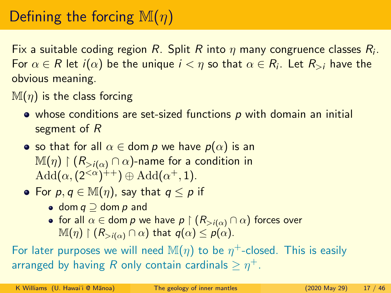# Defining the forcing  $\mathbb{M}(n)$

Fix a suitable coding region  $R.$  Split  $R$  into  $\eta$  many congruence classes  $R_i.$ For  $\alpha\in R$  let  $i(\alpha)$  be the unique  $i<\eta$  so that  $\alpha\in R_i.$  Let  $R_{>i}$  have the obvious meaning.

- $\mathbb{M}(\eta)$  is the class forcing
	- whose conditions are set-sized functions p with domain an initial segment of R
	- so that for all  $\alpha \in$  dom p we have  $p(\alpha)$  is an  $\mathbb{M}(\eta) \restriction (R_{>i(\alpha)} \cap \alpha)$ -name for a condition in  $\text{Add}(\alpha,(2^{<\alpha})^{++})\oplus \text{Add}(\alpha^+,1).$
	- For  $p, q \in \mathbb{M}(\eta)$ , say that  $q \leq p$  if
		- dom  $q \supseteq$  dom  $p$  and
		- for all  $\alpha \in$  dom p we have  $p \restriction (R_{>i(\alpha)} \cap \alpha)$  forces over  $\mathbb{M}(\eta) \restriction (R_{>i(\alpha)} \cap \alpha)$  that  $q(\alpha) \leq p(\alpha)$ .

For later purposes we will need  $\mathbb{M}(\eta)$  to be  $\eta^+$ -closed. This is easily arranged by having  $R$  only contain cardinals  $\geq \eta^+.$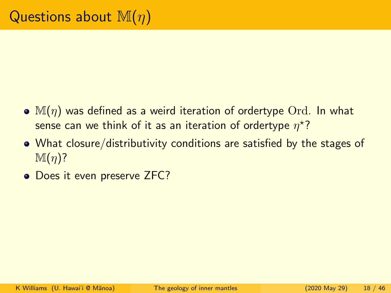- $\bullet$  M( $\eta$ ) was defined as a weird iteration of ordertype Ord. In what sense can we think of it as an iteration of ordertype  $\eta^\star?$
- What closure/distributivity conditions are satisfied by the stages of  $\mathbb{M}(\eta)$ ?
- Does it even preserve ZFC?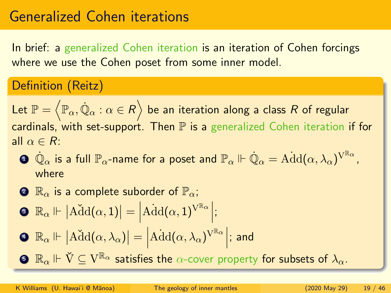In brief: a generalized Cohen iteration is an iteration of Cohen forcings where we use the Cohen poset from some inner model.

## Definition (Reitz)

Let  $\mathbb{P}=\left\langle \mathbb{P}_{\alpha},\dot{\mathbb{Q}}_{\alpha}:\alpha\in R\right\rangle$  be an iteration along a class  $R$  of regular cardinals, with set-support. Then  $P$  is a generalized Cohen iteration if for all  $\alpha \in R$ :

 $\mathbf{D}$   $\dot{\mathbb{Q}}_\alpha$  is a full  $\mathbb{P}_\alpha$ -name for a poset and  $\mathbb{P}_\alpha\Vdash\dot{\mathbb{Q}}_\alpha=\mathrm{Add}(\alpha,\lambda_\alpha)^{\mathrm{V}^{\mathbb{R}_\alpha}}$  , where

$$
\bullet \ \mathbb{R}_\alpha \text{ is a complete suborder of } \mathbb{P}_\alpha;
$$

$$
\bullet \ \mathbb{R}_\alpha \Vdash \big| \widetilde{\rm Add}(\alpha,1)\big| = \Big| \widetilde{\rm Add}(\alpha,1)^{{\rm V}^{\mathbb{R}_\alpha}} \Big|;
$$

$$
\bullet \ \mathbb{R}_{\alpha} \Vdash |\widetilde{\rm Add}(\alpha, \lambda_{\alpha})| = |\widetilde{\rm Add}(\alpha, \lambda_{\alpha})^{{\rm V}^{\mathbb{R}_{\alpha}}}|; \text{ and}
$$

 $\mathbf{S} \ \mathbb{R}_\alpha \Vdash \check{\mathrm{V}} \subseteq \mathrm{V}^{\mathbb{R}_\alpha}$  satisfies the  $\alpha$ -cover property for subsets of  $\lambda_\alpha.$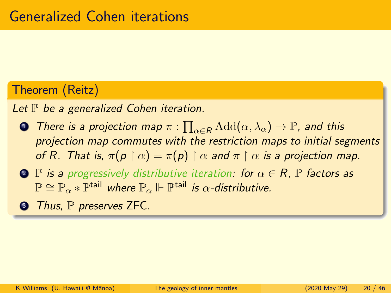#### Theorem (Reitz)

Let  $\mathbb P$  be a generalized Cohen iteration.

- ${\bf D}$  There is a projection map  $\pi:\prod_{\alpha\in R}\mathrm{Add}(\alpha,\lambda_\alpha)\to \mathbb{P}$ , and this projection map commutes with the restriction maps to initial segments of R. That is,  $\pi(p \restriction \alpha) = \pi(p) \restriction \alpha$  and  $\pi \restriction \alpha$  is a projection map.
- **2 P** is a progressively distributive iteration: for  $\alpha \in R$ , **P** factors as  $\mathbb{P} \cong \mathbb{P}_{\alpha} * \mathbb{P}^{\mathsf{tail}}$  where  $\mathbb{P}_{\alpha} \Vdash \mathbb{P}^{\mathsf{tail}}$  is  $\alpha$ -distributive.
- **3** Thus, P preserves ZFC.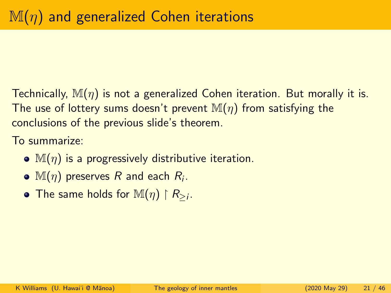Technically,  $\mathbb{M}(\eta)$  is not a generalized Cohen iteration. But morally it is. The use of lottery sums doesn't prevent  $\mathbb{M}(\eta)$  from satisfying the conclusions of the previous slide's theorem.

To summarize:

- $\bullet$  M( $\eta$ ) is a progressively distributive iteration.
- $\mathbb{M}(\eta)$  preserves  $R$  and each  $R_i.$
- The same holds for  $\mathbb{M}(\eta) \restriction R_{\geq i}$ .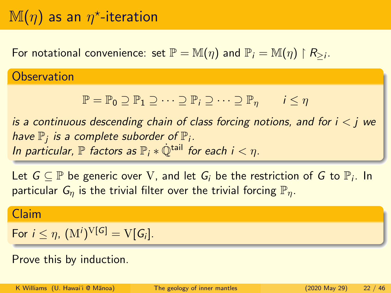# $\mathbb{M}(\eta)$  as an  $\eta^\star$ -iteration

For notational convenience: set  $\mathbb{P} = \mathbb{M}(\eta)$  and  $\mathbb{P}_i = \mathbb{M}(\eta) \restriction R_{\geq i}$ .

**Observation** 

 $\mathbb{P} = \mathbb{P}_0 \supseteq \mathbb{P}_1 \supseteq \cdots \supseteq \mathbb{P}_i \supseteq \cdots \supseteq \mathbb{P}_n$   $i \leq \eta$ 

is a continuous descending chain of class forcing notions, and for  $i < j$  we have  $\mathbb{P}_j$  is a complete suborder of  $\mathbb{P}_i$ . In particular,  $\mathbb P$  factors as  $\mathbb P_i * \dot{\mathbb O}^{\text{tail}}$  for each  $i < n$ .

Let  $G \subseteq \mathbb{P}$  be generic over V, and let  $G_i$  be the restriction of  $G$  to  $\mathbb{P}_i$ . In particular  $G_n$  is the trivial filter over the trivial forcing  $\mathbb{P}_n$ .

#### Claim

For  $i \leq \eta$ ,  $(M^i)^{V[G]} = V[G_i].$ 

Prove this by induction.

K Williams (U. Hawai'i @ Mānoa) [The geology of inner mantles](#page-0-0) (2020 May 29) 22 / 46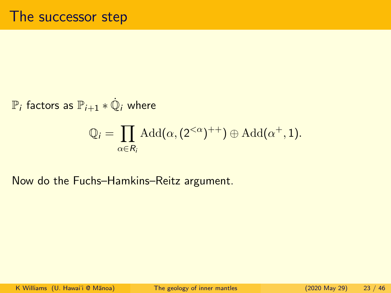$\mathbb{P}_i$  factors as  $\mathbb{P}_{i+1} \ast \dot{\mathbb{Q}}_i$  where

$$
\mathbb{Q}_i = \prod_{\alpha \in R_i} \text{Add}(\alpha, (2^{<\alpha})^{++}) \oplus \text{Add}(\alpha^+, 1).
$$

Now do the Fuchs–Hamkins–Reitz argument.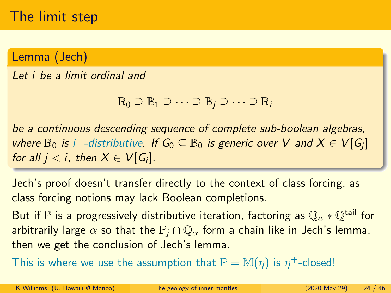# The limit step

Lemma (Jech)

Let i be a limit ordinal and

 $\mathbb{B}_0 \supseteq \mathbb{B}_1 \supseteq \cdots \supseteq \mathbb{B}_i \supseteq \cdots \supseteq \mathbb{B}_i$ 

be a continuous descending sequence of complete sub-boolean algebras, where  $\mathbb{B}_0$  is i $^+$ -distributive. If  $\mathsf{G}_0 \subseteq \mathbb{B}_0$  is generic over  $V$  and  $X \in V[G_j]$ for all  $j < i$ , then  $X \in V[G_i]$ .

Jech's proof doesn't transfer directly to the context of class forcing, as class forcing notions may lack Boolean completions.

But if P is a progressively distributive iteration, factoring as  $\mathbb{Q}_{\alpha} * \mathbb{Q}^{\text{tail}}$  for arbitrarily large  $\alpha$  so that the  $\mathbb{P}_i \cap \mathbb{Q}_\alpha$  form a chain like in Jech's lemma, then we get the conclusion of Jech's lemma.

This is where we use the assumption that  $\mathbb{P} = \mathbb{M}(\eta)$  is  $\eta^+$ -closed!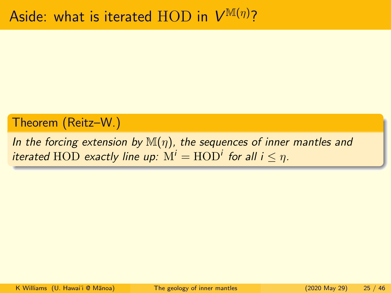#### Theorem (Reitz–W.)

In the forcing extension by  $\mathbb{M}(\eta)$ , the sequences of inner mantles and iterated  $\text{HOD}$  exactly line up:  $\text{M}^i = \text{HOD}^i$  for all i  $\leq \eta$ .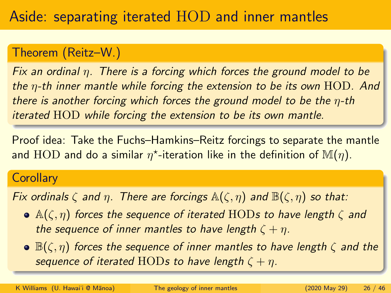## Theorem (Reitz–W.)

Fix an ordinal  $\eta$ . There is a forcing which forces the ground model to be the  $\eta$ -th inner mantle while forcing the extension to be its own  $HOD$ . And there is another forcing which forces the ground model to be the  $\eta$ -th iterated HOD while forcing the extension to be its own mantle.

Proof idea: Take the Fuchs–Hamkins–Reitz forcings to separate the mantle and  $\text{HOD}$  and do a similar  $\eta^\star$ -iteration like in the definition of  $\mathbb{M}(\eta).$ 

#### **Corollary**

Fix ordinals  $\zeta$  and  $\eta$ . There are forcings  $\mathbb{A}(\zeta,\eta)$  and  $\mathbb{B}(\zeta,\eta)$  so that:

- $\bullet$  A( $(\zeta, \eta)$  forces the sequence of iterated HODs to have length  $\zeta$  and the sequence of inner mantles to have length  $\zeta + \eta$ .
- $\bullet \mathbb{B}(\zeta,\eta)$  forces the sequence of inner mantles to have length  $\zeta$  and the sequence of iterated HODs to have length  $\zeta + \eta$ .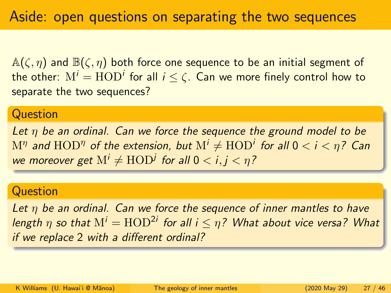$\mathbb{A}(\zeta,\eta)$  and  $\mathbb{B}(\zeta,\eta)$  both force one sequence to be an initial segment of the other:  $\mathrm{M}^i=\mathrm{HOD}^i$  for all  $i\leq\zeta.$  Can we more finely control how to separate the two sequences?

#### **Question**

Let  $\eta$  be an ordinal. Can we force the sequence the ground model to be  $\mathrm{M}^\eta$  and  $\mathrm{HOD}^\eta$  of the extension, but  $\mathrm{M}^i\neq \mathrm{HOD}^i$  for all  $0 < i < \eta$ ? Can we moreover get  $\mathrm{M}^i\neq \mathrm{HOD}^j$  for all  $0< i,j<\eta$  ?

#### **Question**

Let  $\eta$  be an ordinal. Can we force the sequence of inner mantles to have length  $\eta$  so that  $\mathrm{M}^i = \mathrm{HOD}^{2i}$  for all  $i \leq \eta$ ? What about vice versa? What if we replace 2 with a different ordinal?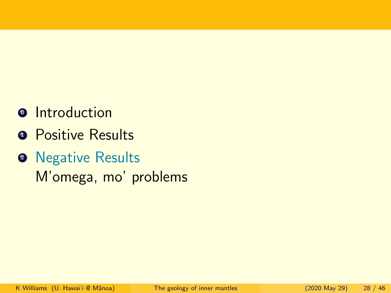# **<sup>o</sup>** Introduction

- **Q** Positive Results
- **2** Negative Results M'omega, mo' problems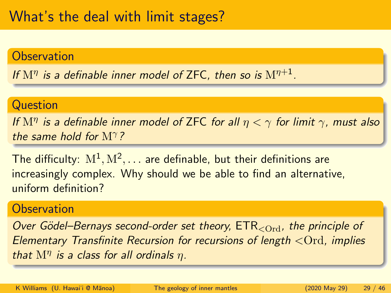#### **Observation**

If  $\mathrm{M}^\eta$  is a definable inner model of ZFC, then so is  $\mathrm{M}^{\eta+1}.$ 

#### **Question**

If  $\mathrm{M}^\eta$  is a definable inner model of ZFC for all  $\eta < \gamma$  for limit  $\gamma$ , must also the same hold for  $M^{\gamma}$ ?

The difficulty:  $\mathrm{M}^1,\mathrm{M}^2,\dots$  are definable, but their definitions are increasingly complex. Why should we be able to find an alternative, uniform definition?

#### **Observation**

Over Gödel–Bernays second-order set theory,  $ETR_{\rm , the principle of$ Elementary Transfinite Recursion for recursions of length <Ord, implies that  $M^{\eta}$  is a class for all ordinals  $\eta$ .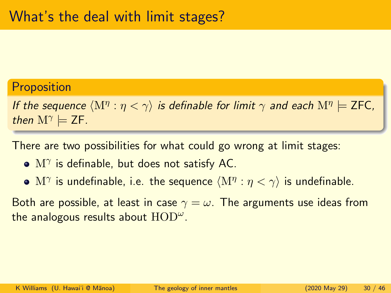#### **Proposition**

If the sequence  $\langle \mathrm{M}^\eta : \eta < \gamma \rangle$  is definable for limit  $\gamma$  and each  $\mathrm{M}^\eta \models$  ZFC, then  $M^{\gamma} \models$  ZF.

There are two possibilities for what could go wrong at limit stages:

- $\mathrm{M}^{\gamma}$  is definable, but does not satisfy AC.
- $\mathrm{M}^\gamma$  is undefinable, i.e. the sequence  $\langle \mathrm{M}^\eta : \eta < \gamma \rangle$  is undefinable.

Both are possible, at least in case  $\gamma = \omega$ . The arguments use ideas from the analogous results about  $\text{HOD}^{\omega}$ .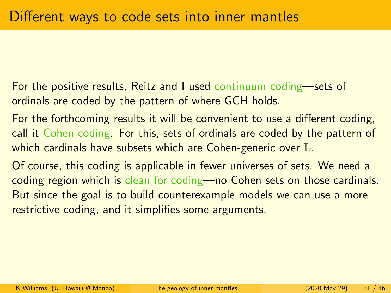For the positive results, Reitz and I used continuum coding—sets of ordinals are coded by the pattern of where GCH holds.

For the forthcoming results it will be convenient to use a different coding, call it Cohen coding. For this, sets of ordinals are coded by the pattern of which cardinals have subsets which are Cohen-generic over L.

Of course, this coding is applicable in fewer universes of sets. We need a coding region which is clean for coding—no Cohen sets on those cardinals. But since the goal is to build counterexample models we can use a more restrictive coding, and it simplifies some arguments.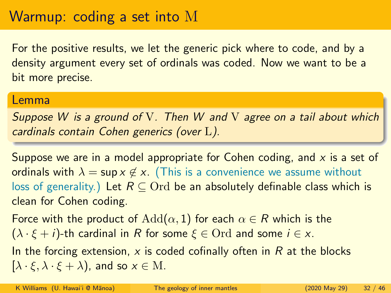# Warmup: coding a set into M

For the positive results, we let the generic pick where to code, and by a density argument every set of ordinals was coded. Now we want to be a bit more precise.

#### Lemma

Suppose W is a ground of V. Then W and V agree on a tail about which cardinals contain Cohen generics (over L).

Suppose we are in a model appropriate for Cohen coding, and  $x$  is a set of ordinals with  $\lambda = \sup x \notin x$ . (This is a convenience we assume without loss of generality.) Let  $R \subseteq \text{Ord}$  be an absolutely definable class which is clean for Cohen coding.

Force with the product of  $Add(\alpha, 1)$  for each  $\alpha \in R$  which is the  $(\lambda \cdot \xi + i)$ -th cardinal in R for some  $\xi \in \text{Ord}$  and some  $i \in x$ . In the forcing extension, x is coded cofinally often in  $R$  at the blocks  $[\lambda \cdot \xi, \lambda \cdot \xi + \lambda)$ , and so  $x \in M$ .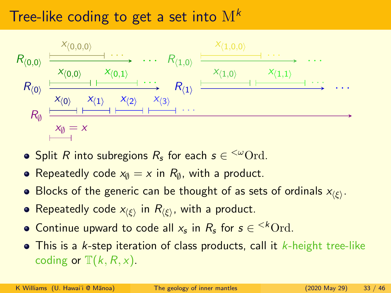# Tree-like coding to get a set into  $M^k$



- Split R into subregions  $R_{\pmb{s}}$  for each  $\pmb{s} \in {}^{<\omega}\mathrm{Ord.}$
- Repeatedly code  $x_\emptyset = x$  in  $R_\emptyset$ , with a product.
- Blocks of the generic can be thought of as sets of ordinals  $x_{\langle \xi \rangle}.$
- Repeatedly code  $x_{\langle \xi \rangle}$  in  $R_{\langle \xi \rangle}$ , with a product.
- Continue upward to code all  $x_s$  in  $R_s$  for  $s \in {}^{< k} \text{Ord.}$
- $\bullet$  This is a k-step iteration of class products, call it k-height tree-like coding or  $\mathbb{T}(k, R, x)$ .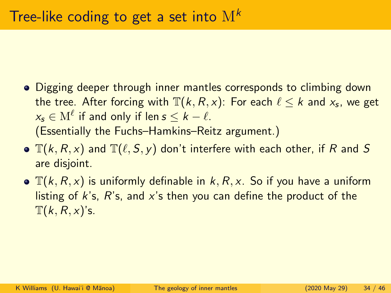- Digging deeper through inner mantles corresponds to climbing down the tree. After forcing with  $\mathbb{T} (k, R, x)$ : For each  $\ell \leq k$  and  $x_{\mathsf{s}}$ , we get  $\mathsf{x}_{\mathsf{s}}\in\mathrm{M}^{\ell}$  if and only if len  $\mathsf{s}\leq\mathsf{k}-\ell.$ (Essentially the Fuchs–Hamkins–Reitz argument.)
- $\bullet$   $\mathbb{T}(k, R, x)$  and  $\mathbb{T}(\ell, S, y)$  don't interfere with each other, if R and S are disjoint.
- $\bullet$   $\mathbb{T}(k, R, x)$  is uniformly definable in  $k, R, x$ . So if you have a uniform listing of  $k$ 's,  $R$ 's, and  $x$ 's then you can define the product of the  $T(k, R, x)$ 's.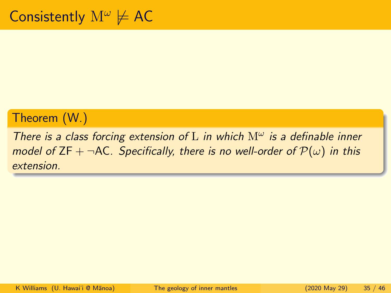## Theorem (W.)

There is a class forcing extension of L in which  $M^{\omega}$  is a definable inner model of ZF +  $\neg$ AC. Specifically, there is no well-order of  $\mathcal{P}(\omega)$  in this extension.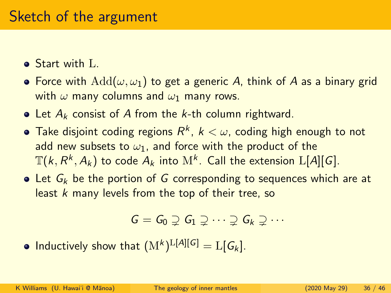## Sketch of the argument

- Start with L.
- Force with  $Add(\omega, \omega_1)$  to get a generic A, think of A as a binary grid with  $\omega$  many columns and  $\omega_1$  many rows.
- Let  $A_k$  consist of A from the k-th column rightward.
- Take disjoint coding regions  $R^k$ ,  $k<\omega$ , coding high enough to not add new subsets to  $\omega_1$ , and force with the product of the  $\mathbb{T}(k, R^{k}, A_{k})$  to code  $A_{k}$  into  $\mathrm{M}^{k}$ . Call the extension  $\mathrm{L}[A][G].$
- $\bullet$  Let  $G_k$  be the portion of G corresponding to sequences which are at least k many levels from the top of their tree, so

$$
G = G_0 \supsetneq G_1 \supsetneq \cdots \supsetneq G_k \supsetneq \cdots
$$

Inductively show that  $(\mathrm{M}^k)^{\mathrm{L}[A][G]} = \mathrm{L}[G_k].$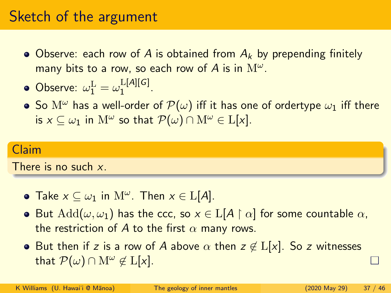## Sketch of the argument

• Observe: each row of A is obtained from  $A_k$  by prepending finitely many bits to a row, so each row of  $A$  is in  $\mathrm{M}^\omega.$ 

• Observe: 
$$
\omega_1^L = \omega_1^{L[A][G]}
$$
.

• So  $\mathcal{M}^{\omega}$  has a well-order of  $\mathcal{P}(\omega)$  iff it has one of ordertype  $\omega_1$  iff there is  $x\subseteq\omega_1$  in  $\mathrm{M}^\omega$  so that  $\mathcal{P}(\omega)\cap\mathrm{M}^\omega\in\mathrm{L}[x].$ 

#### Claim

There is no such x.

- Take  $x \subseteq \omega_1$  in  $\mathrm{M}^{\omega}$ . Then  $x \in \mathrm{L}[A]$ .
- But  $Add(\omega, \omega_1)$  has the ccc, so  $x \in L[A \restriction \alpha]$  for some countable  $\alpha$ , the restriction of A to the first  $\alpha$  many rows.
- But then if z is a row of A above  $\alpha$  then  $z \notin L[x]$ . So z witnesses that  $\mathcal{P}(\omega) \cap M^{\omega} \notin L[x]$ .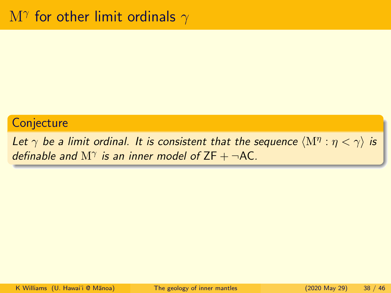#### **Conjecture**

Let  $\gamma$  be a limit ordinal. It is consistent that the sequence  $\langle \mathrm{M}^\eta : \eta < \gamma \rangle$  is definable and  $M^{\gamma}$  is an inner model of ZF +  $\neg$ AC.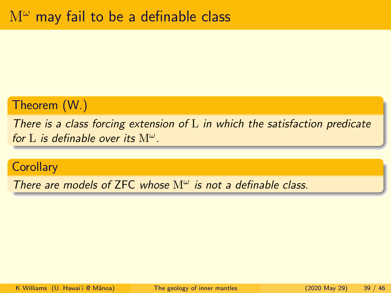## Theorem (W.)

There is a class forcing extension of  $L$  in which the satisfaction predicate for L is definable over its  $M^{\omega}$ .

#### **Corollary**

There are models of ZFC whose  $M^{\omega}$  is not a definable class.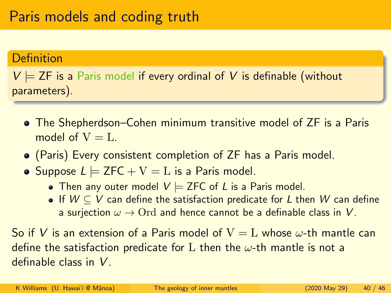#### Definition

 $V \models$  ZF is a Paris model if every ordinal of V is definable (without parameters).

- The Shepherdson–Cohen minimum transitive model of ZF is a Paris model of  $V = L$ .
- (Paris) Every consistent completion of ZF has a Paris model.
- Suppose  $L \models ZFC + V = L$  is a Paris model.
	- Then any outer model  $V \models$  ZFC of L is a Paris model.
	- If  $W \subseteq V$  can define the satisfaction predicate for L then W can define a surjection  $\omega \rightarrow$  Ord and hence cannot be a definable class in V.

So if V is an extension of a Paris model of  $V = L$  whose  $\omega$ -th mantle can define the satisfaction predicate for L then the  $\omega$ -th mantle is not a definable class in V.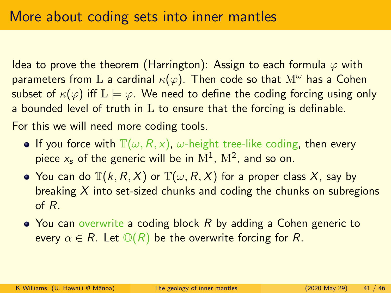Idea to prove the theorem (Harrington): Assign to each formula  $\varphi$  with parameters from L a cardinal  $\kappa(\varphi)$ . Then code so that  $M^{\omega}$  has a Cohen subset of  $\kappa(\varphi)$  iff  $L \models \varphi$ . We need to define the coding forcing using only a bounded level of truth in  $L$  to ensure that the forcing is definable.

For this we will need more coding tools.

- **If you force with**  $\mathbb{T}(\omega, R, x)$ ,  $\omega$ -height tree-like coding, then every piece  $x_s$  of the generic will be in  $\mathrm{M}^1$ ,  $\mathrm{M}^2$ , and so on.
- You can do  $\mathbb{T}(k, R, X)$  or  $\mathbb{T}(\omega, R, X)$  for a proper class X, say by breaking  $X$  into set-sized chunks and coding the chunks on subregions of R.
- $\bullet$  You can overwrite a coding block R by adding a Cohen generic to every  $\alpha \in R$ . Let  $\mathbb{O}(R)$  be the overwrite forcing for R.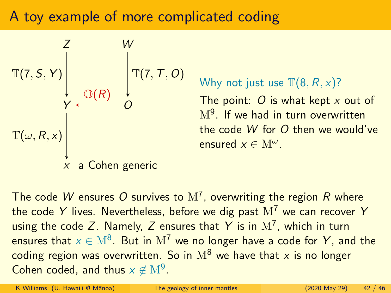## A toy example of more complicated coding



Why not just use  $\mathbb{T}(8, R, x)$ ?

The point:  $O$  is what kept  $x$  out of  $\mathrm{M}^{9}.$  If we had in turn overwritten the code W for O then we would've ensured  $x \in M^{\omega}$ .

The code  $W$  ensures  $O$  survives to  $\mathrm{M}^7$ , overwriting the region  $R$  where the code Y lives. Nevertheless, before we dig past  $M^7$  we can recover Y using the code Z. Namely, Z ensures that Y is in  $\mathrm{M}^7$ , which in turn ensures that  $x\in \mathrm{M}^8.$  But in  $\mathrm{M}^7$  we no longer have a code for  $\pmb{Y},$  and the coding region was overwritten. So in  $M^8$  we have that x is no longer Cohen coded, and thus  $x \notin M^9$ .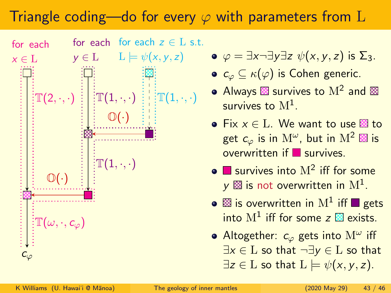# Triangle coding—do for every  $\varphi$  with parameters from L



- $L \models \psi(x, y, z) \qquad \bullet \varphi = \exists x \neg \exists y \exists z \psi(x, y, z)$  is  $\Sigma_3$ .
	- $c_{\varphi} \subseteq \kappa(\varphi)$  is Cohen generic.
	- Always  $\boxtimes$  survives to  $\mathrm{M}^2$  and survives to  $\mathrm{M}^1.$
	- Fix  $x \in L$ . We want to use  $\boxtimes$  to get  $c_{\varphi}$  is in  $\mathrm{M}^{\omega},$  but in  $\mathrm{M}^2$   $\boxtimes$  is overwritten if survives.
	- survives into  $M^2$  iff for some  $\mathsf{y} \boxtimes$  is not overwritten in  $\mathrm{M}^1.$
	- is overwritten in  $\mathrm{M}^1$  iff  $\blacksquare$  gets into  $M^1$  iff for some  $z \boxtimes$  exists.
	- Altogether:  $c_{\varphi}$  gets into  $\mathrm{M}^{\omega}$  iff  $\exists x \in L$  so that  $\neg \exists y \in L$  so that  $\exists z \in L$  so that  $L \models \psi(x, y, z)$ .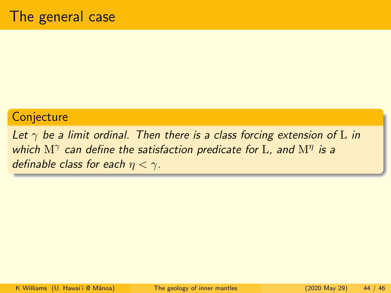#### **Conjecture**

Let  $\gamma$  be a limit ordinal. Then there is a class forcing extension of L in which  $\mathrm{M}^\gamma$  can define the satisfaction predicate for  $\mathrm{L}$ , and  $\mathrm{M}^\eta$  is a definable class for each  $\eta < \gamma$ .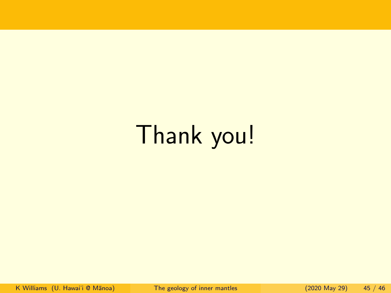# Thank you!